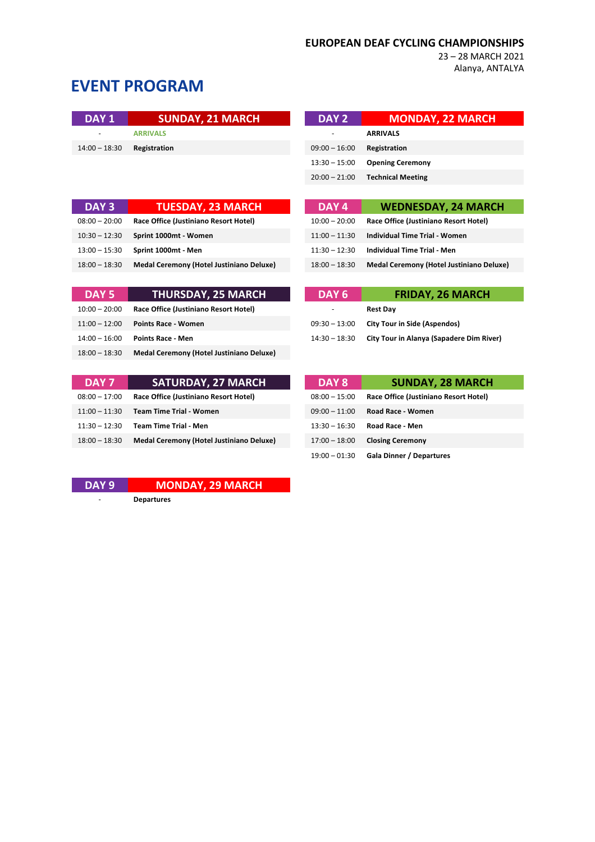23 – 28 MARCH 2021 Alanya, ANTALYA

# **EVENT PROGRAM**

| DAY 1                    | <b>SUNDAY, 21 MARCH</b> | DAY 2                        | <b>MONDAY, 22 MARCH</b> |
|--------------------------|-------------------------|------------------------------|-------------------------|
| $\overline{\phantom{a}}$ | <b>ARRIVALS</b>         |                              | <b>ARRIVALS</b>         |
| $14:00 - 18:30$          | Registration            | $09:00 - 16:00$ Registration |                         |
|                          |                         |                              |                         |

| DAY 3           | <b>TUESDAY, 23 MARCH</b>                        | DAY 4           | <b>WEDNESDAY, 24 MARCH</b>                      |
|-----------------|-------------------------------------------------|-----------------|-------------------------------------------------|
| $08:00 - 20:00$ | Race Office (Justiniano Resort Hotel)           | $10:00 - 20:00$ | Race Office (Justiniano Resort Hotel)           |
| $10:30 - 12:30$ | Sprint 1000mt - Women                           | $11:00 - 11:30$ | <b>Individual Time Trial - Women</b>            |
| $13:00 - 15:30$ | Sprint 1000mt - Men                             | $11:30 - 12:30$ | <b>Individual Time Trial - Men</b>              |
| $18:00 - 18:30$ | <b>Medal Ceremony (Hotel Justiniano Deluxe)</b> | $18:00 - 18:30$ | <b>Medal Ceremony (Hotel Justiniano Deluxe)</b> |

| DAY 5           | <b>THURSDAY, 25 MARCH</b>                       | DAY <sub>6</sub>         | <b>FRIDAY, 26 MARCH</b>                         |
|-----------------|-------------------------------------------------|--------------------------|-------------------------------------------------|
| $10:00 - 20:00$ | Race Office (Justiniano Resort Hotel)           | $\overline{\phantom{0}}$ | <b>Rest Dav</b>                                 |
| $11:00 - 12:00$ | <b>Points Race - Women</b>                      | $09:30 - 13:00$          | <b>City Tour in Side (Aspendos)</b>             |
| $14:00 - 16:00$ | <b>Points Race - Men</b>                        | $14:30 - 18:30$          | <b>City Tour in Alanya (Sapadere Dim River)</b> |
| $18:00 - 18:30$ | <b>Medal Ceremony (Hotel Justiniano Deluxe)</b> |                          |                                                 |

| DAY 7           | <b>SATURDAY, 27 MARCH</b>                       | DAY 8           | <b>SUNDAY, 28 MARCH</b>               |
|-----------------|-------------------------------------------------|-----------------|---------------------------------------|
| $08:00 - 17:00$ | Race Office (Justiniano Resort Hotel)           | $08:00 - 15:00$ | Race Office (Justiniano Resort Hotel) |
| $11:00 - 11:30$ | <b>Team Time Trial - Women</b>                  | $09:00 - 11:00$ | Road Race - Women                     |
| $11:30 - 12:30$ | <b>Team Time Trial - Men</b>                    | $13:30 - 16:30$ | <b>Road Race - Men</b>                |
| $18:00 - 18:30$ | <b>Medal Ceremony (Hotel Justiniano Deluxe)</b> | $17:00 - 18:00$ | <b>Closing Ceremony</b>               |

**DAY 9 MONDAY, 29 MARCH**

- **Departures**

| DAY 2           | <b>MONDAY, 22 MARCH</b>  |
|-----------------|--------------------------|
| ٠               | <b>ARRIVALS</b>          |
| $09:00 - 16:00$ | Registration             |
| $13:30 - 15:00$ | <b>Opening Ceremony</b>  |
| $20:00 - 21:00$ | <b>Technical Meeting</b> |

| DAY <sub>3</sub> | <b>TUESDAY, 23 MARCH</b>                        | DAY 4           | <b>WEDNESDAY, 24 MARCH</b>               |
|------------------|-------------------------------------------------|-----------------|------------------------------------------|
| $0.00 - 20.00$   | Race Office (Justiniano Resort Hotel)           | $10:00 - 20:00$ | Race Office (Justiniano Resort Hotel)    |
| $1:30 - 12:30$   | Sprint 1000mt - Women                           | $11:00 - 11:30$ | Individual Time Trial - Women            |
| $:00 - 15:30$    | Sprint 1000mt - Men                             | $11:30 - 12:30$ | Individual Time Trial - Men              |
| $0.00 - 18.30$   | <b>Medal Ceremony (Hotel Justiniano Deluxe)</b> | $18:00 - 18:30$ | Medal Ceremony (Hotel Justiniano Deluxe) |

| DAY 6           | <b>FRIDAY, 26 MARCH</b>                  |  |  |
|-----------------|------------------------------------------|--|--|
|                 | <b>Rest Day</b>                          |  |  |
| $09:30 - 13:00$ | <b>City Tour in Side (Aspendos)</b>      |  |  |
| $14:30 - 18:30$ | City Tour in Alanya (Sapadere Dim River) |  |  |

| DAY 8           | <b>SUNDAY, 28 MARCH</b>               |
|-----------------|---------------------------------------|
| $08:00 - 15:00$ | Race Office (Justiniano Resort Hotel) |
| $09:00 - 11:00$ | Road Race - Women                     |
| $13:30 - 16:30$ | Road Race - Men                       |
| $17:00 - 18:00$ | <b>Closing Ceremony</b>               |
| $19:00 - 01:30$ | Gala Dinner / Departures              |